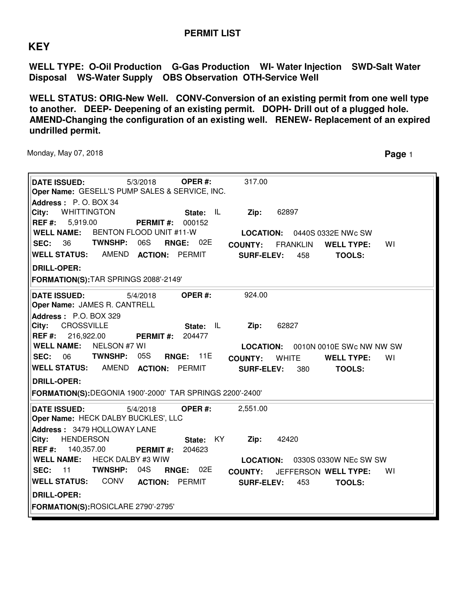## **PERMIT LIST**

## **KEY**

**WELL TYPE: O-Oil Production G-Gas Production WI- Water Injection SWD-Salt Water Disposal WS-Water Supply OBS Observation OTH-Service Well**

**WELL STATUS: ORIG-New Well. CONV-Conversion of an existing permit from one well type to another. DEEP- Deepening of an existing permit. DOPH- Drill out of a plugged hole. AMEND-Changing the configuration of an existing well. RENEW- Replacement of an expired undrilled permit.**

Monday, May 07, 2018 **Page** 1

| <b>DATE ISSUED:</b><br>Oper Name: GESELL'S PUMP SALES & SERVICE, INC.<br>Address: P.O. BOX 34 | 5/3/2018                 | OPER#:                 | 317.00            |                 |                          |    |  |
|-----------------------------------------------------------------------------------------------|--------------------------|------------------------|-------------------|-----------------|--------------------------|----|--|
| City:<br><b>WHITTINGTON</b><br>REF#:<br>5,919.00                                              | <b>PERMIT#:</b>          | IL<br>State:<br>000152 | Zip:              | 62897           |                          |    |  |
| <b>WELL NAME:</b>                                                                             | BENTON FLOOD UNIT #11-W  |                        | <b>LOCATION:</b>  |                 | 0440S 0332E NWc SW       |    |  |
| <b>TWNSHP:</b><br>36<br><b>SEC:</b>                                                           | 06S                      | <b>RNGE: 02E</b>       | <b>COUNTY:</b>    | <b>FRANKLIN</b> | <b>WELL TYPE:</b>        | WI |  |
| <b>WELL STATUS:</b>                                                                           | AMEND ACTION: PERMIT     |                        | <b>SURF-ELEV:</b> | 458             | <b>TOOLS:</b>            |    |  |
| <b>DRILL-OPER:</b>                                                                            |                          |                        |                   |                 |                          |    |  |
| FORMATION(S): TAR SPRINGS 2088'-2149'                                                         |                          |                        |                   |                 |                          |    |  |
| <b>DATE ISSUED:</b>                                                                           | 5/4/2018                 | OPER#:                 | 924.00            |                 |                          |    |  |
| Oper Name: JAMES R. CANTRELL<br>Address: P.O. BOX 329                                         |                          |                        |                   |                 |                          |    |  |
| CROSSVILLE<br>City:                                                                           |                          | IL<br>State:           | Zip:              | 62827           |                          |    |  |
| $REF#$ :<br>216,922.00                                                                        | <b>PERMIT#:</b>          | 204477                 |                   |                 |                          |    |  |
| <b>WELL NAME:</b><br>NELSON #7 WI                                                             |                          |                        | <b>LOCATION:</b>  |                 | 0010N 0010E SWc NW NW SW |    |  |
| TWNSHP:<br><b>SEC: 06</b>                                                                     | 05S                      | <b>RNGE: 11E</b>       | <b>COUNTY:</b>    | <b>WHITE</b>    | <b>WELL TYPE:</b>        | WI |  |
| WELL STATUS: AMEND ACTION: PERMIT                                                             |                          |                        | <b>SURF-ELEV:</b> | 380             | <b>TOOLS:</b>            |    |  |
| <b>DRILL-OPER:</b><br>FORMATION(S):DEGONIA 1900'-2000' TAR SPRINGS 2200'-2400'                |                          |                        |                   |                 |                          |    |  |
| <b>DATE ISSUED:</b>                                                                           | 5/4/2018                 | OPER#:                 | 2,551.00          |                 |                          |    |  |
| Oper Name: HECK DALBY BUCKLES', LLC                                                           |                          |                        |                   |                 |                          |    |  |
| Address: 3479 HOLLOWAY LANE<br><b>HENDERSON</b><br>City:                                      |                          | KY<br>State:           | Zip:              | 42420           |                          |    |  |
| $REF#$ :<br>140,357.00                                                                        | <b>PERMIT#:</b>          | 204623                 |                   |                 |                          |    |  |
| <b>WELL NAME:</b>                                                                             | <b>HECK DALBY #3 WIW</b> |                        | <b>LOCATION:</b>  |                 | 0330S 0330W NEc SW SW    |    |  |
| <b>TWNSHP:</b><br><b>SEC: 11</b>                                                              | 04S<br><b>RNGE:</b>      | 02E                    | <b>COUNTY:</b>    |                 | JEFFERSON WELL TYPE:     | WI |  |
| <b>WELL STATUS:</b><br>CONV                                                                   | <b>ACTION: PERMIT</b>    |                        | <b>SURF-ELEV:</b> | 453             | <b>TOOLS:</b>            |    |  |
| <b>DRILL-OPER:</b>                                                                            |                          |                        |                   |                 |                          |    |  |
| FORMATION(S):ROSICLARE 2790'-2795'                                                            |                          |                        |                   |                 |                          |    |  |
|                                                                                               |                          |                        |                   |                 |                          |    |  |